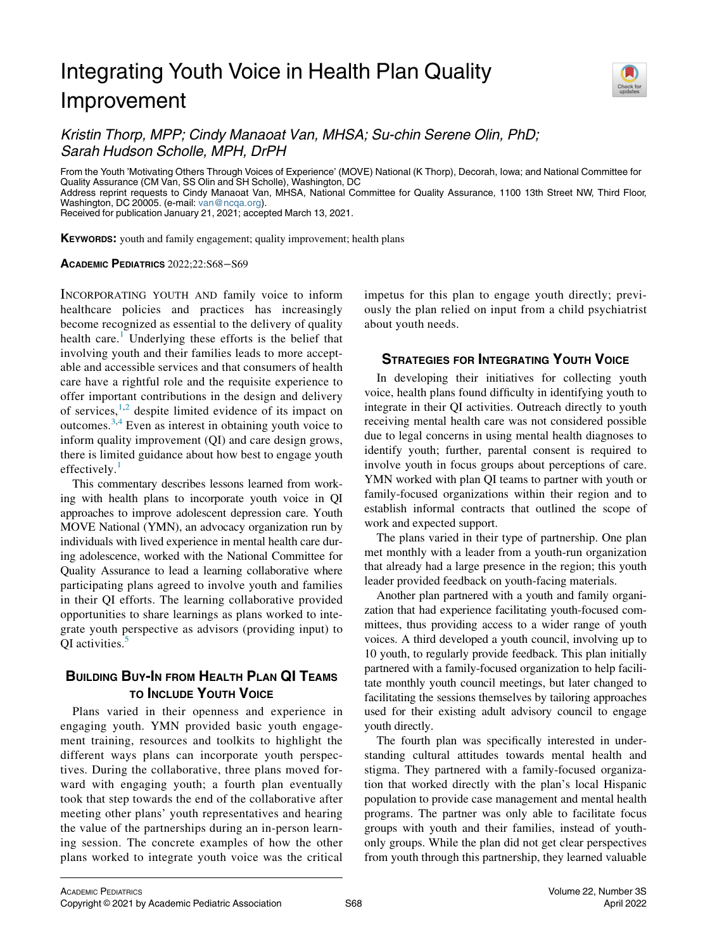# Integrating Youth Voice in Health Plan Quality Improvement



Kristin Thorp, MPP; Cindy Manaoat Van, MHSA; Su-chin Serene Olin, PhD; Sarah Hudson Scholle, MPH, DrPH

From the Youth 'Motivating Others Through Voices of Experience' (MOVE) National (K Thorp), Decorah, Iowa; and National Committee for Quality Assurance (CM Van, SS Olin and SH Scholle), Washington, DC

Address reprint requests to Cindy Manaoat Van, MHSA, National Committee for Quality Assurance, 1100 13th Street NW, Third Floor, Washington, DC 20005. (e-mail: [van@ncqa.org](mailto:van@ncqa.org)).

Received for publication January 21, 2021; accepted March 13, 2021.

KEYWORDS: youth and family engagement; quality improvement; health plans

#### ACADEMIC PEDIATRICS 2022;22:S68−S69

INCORPORATING YOUTH AND family voice to inform healthcare policies and practices has increasingly become recognized as essential to the delivery of quality health care.<sup>[1](#page-1-0)</sup> Underlying these efforts is the belief that involving youth and their families leads to more acceptable and accessible services and that consumers of health care have a rightful role and the requisite experience to offer important contributions in the design and delivery of services,  $1,2$  $1,2$  despite limited evidence of its impact on outcomes. $3,4$  $3,4$  Even as interest in obtaining youth voice to inform quality improvement (QI) and care design grows, there is limited guidance about how best to engage youth effectively. $\frac{1}{1}$  $\frac{1}{1}$  $\frac{1}{1}$ 

This commentary describes lessons learned from working with health plans to incorporate youth voice in QI approaches to improve adolescent depression care. Youth MOVE National (YMN), an advocacy organization run by individuals with lived experience in mental health care during adolescence, worked with the National Committee for Quality Assurance to lead a learning collaborative where participating plans agreed to involve youth and families in their QI efforts. The learning collaborative provided opportunities to share learnings as plans worked to integrate youth perspective as advisors (providing input) to QI activities.<sup>[5](#page-1-4)</sup>

## BUILDING BUY-IN FROM HEALTH PLAN QI TEAMS TO INCLUDE YOUTH VOICE

Plans varied in their openness and experience in engaging youth. YMN provided basic youth engagement training, resources and toolkits to highlight the different ways plans can incorporate youth perspectives. During the collaborative, three plans moved forward with engaging youth; a fourth plan eventually took that step towards the end of the collaborative after meeting other plans' youth representatives and hearing the value of the partnerships during an in-person learning session. The concrete examples of how the other plans worked to integrate youth voice was the critical impetus for this plan to engage youth directly; previously the plan relied on input from a child psychiatrist about youth needs.

## **STRATEGIES FOR INTEGRATING YOUTH VOICE**

In developing their initiatives for collecting youth voice, health plans found difficulty in identifying youth to integrate in their QI activities. Outreach directly to youth receiving mental health care was not considered possible due to legal concerns in using mental health diagnoses to identify youth; further, parental consent is required to involve youth in focus groups about perceptions of care. YMN worked with plan QI teams to partner with youth or family-focused organizations within their region and to establish informal contracts that outlined the scope of work and expected support.

The plans varied in their type of partnership. One plan met monthly with a leader from a youth-run organization that already had a large presence in the region; this youth leader provided feedback on youth-facing materials.

Another plan partnered with a youth and family organization that had experience facilitating youth-focused committees, thus providing access to a wider range of youth voices. A third developed a youth council, involving up to 10 youth, to regularly provide feedback. This plan initially partnered with a family-focused organization to help facilitate monthly youth council meetings, but later changed to facilitating the sessions themselves by tailoring approaches used for their existing adult advisory council to engage youth directly.

The fourth plan was specifically interested in understanding cultural attitudes towards mental health and stigma. They partnered with a family-focused organization that worked directly with the plan's local Hispanic population to provide case management and mental health programs. The partner was only able to facilitate focus groups with youth and their families, instead of youthonly groups. While the plan did not get clear perspectives from youth through this partnership, they learned valuable